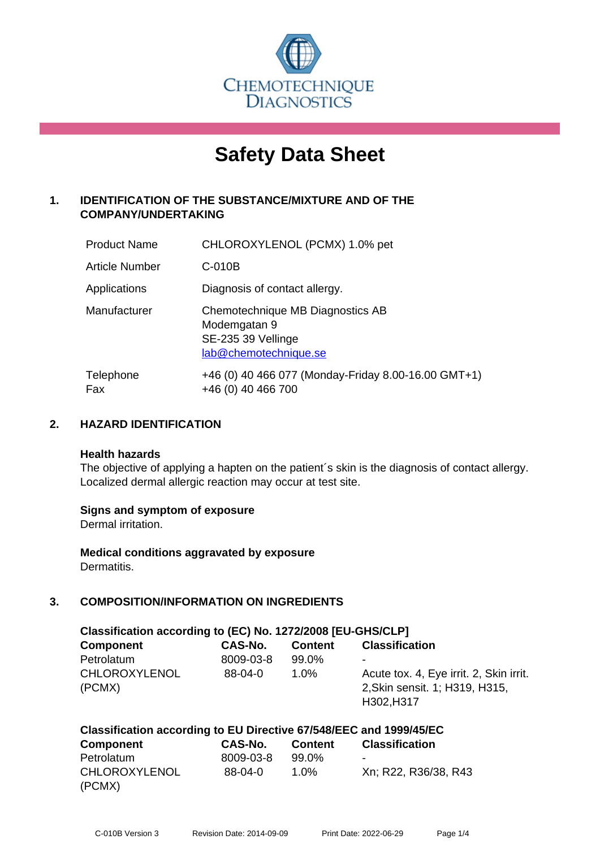

# **Safety Data Sheet**

# **1. IDENTIFICATION OF THE SUBSTANCE/MIXTURE AND OF THE COMPANY/UNDERTAKING**

| <b>Product Name</b> | CHLOROXYLENOL (PCMX) 1.0% pet                                                                   |
|---------------------|-------------------------------------------------------------------------------------------------|
| Article Number      | $C-010B$                                                                                        |
| Applications        | Diagnosis of contact allergy.                                                                   |
| Manufacturer        | Chemotechnique MB Diagnostics AB<br>Modemgatan 9<br>SE-235 39 Vellinge<br>lab@chemotechnique.se |
| Telephone<br>Fax    | +46 (0) 40 466 077 (Monday-Friday 8.00-16.00 GMT+1)<br>+46 (0) 40 466 700                       |

#### **2. HAZARD IDENTIFICATION**

#### **Health hazards**

The objective of applying a hapten on the patient's skin is the diagnosis of contact allergy. Localized dermal allergic reaction may occur at test site.

#### **Signs and symptom of exposure**

Dermal irritation.

**Medical conditions aggravated by exposure** Dermatitis.

# **3. COMPOSITION/INFORMATION ON INGREDIENTS**

| Classification according to (EC) No. 1272/2008 [EU-GHS/CLP] |           |                |                                                                                         |  |  |  |
|-------------------------------------------------------------|-----------|----------------|-----------------------------------------------------------------------------------------|--|--|--|
| <b>Component</b>                                            | CAS-No.   | <b>Content</b> | <b>Classification</b>                                                                   |  |  |  |
| Petrolatum                                                  | 8009-03-8 | 99.0%          | ۰                                                                                       |  |  |  |
| <b>CHLOROXYLENOL</b><br>(PCMX)                              | $88-04-0$ | $1.0\%$        | Acute tox. 4, Eye irrit. 2, Skin irrit.<br>2, Skin sensit. 1; H319, H315,<br>H302, H317 |  |  |  |

| Classification according to EU Directive 67/548/EEC and 1999/45/EC |           |         |                          |  |  |
|--------------------------------------------------------------------|-----------|---------|--------------------------|--|--|
| Component                                                          | CAS-No.   | Content | <b>Classification</b>    |  |  |
| Petrolatum                                                         | 8009-03-8 | 99.0%   | $\overline{\phantom{0}}$ |  |  |
| <b>CHLOROXYLENOL</b>                                               | $88-04-0$ | 1.0%    | Xn; R22, R36/38, R43     |  |  |
| (PCMX)                                                             |           |         |                          |  |  |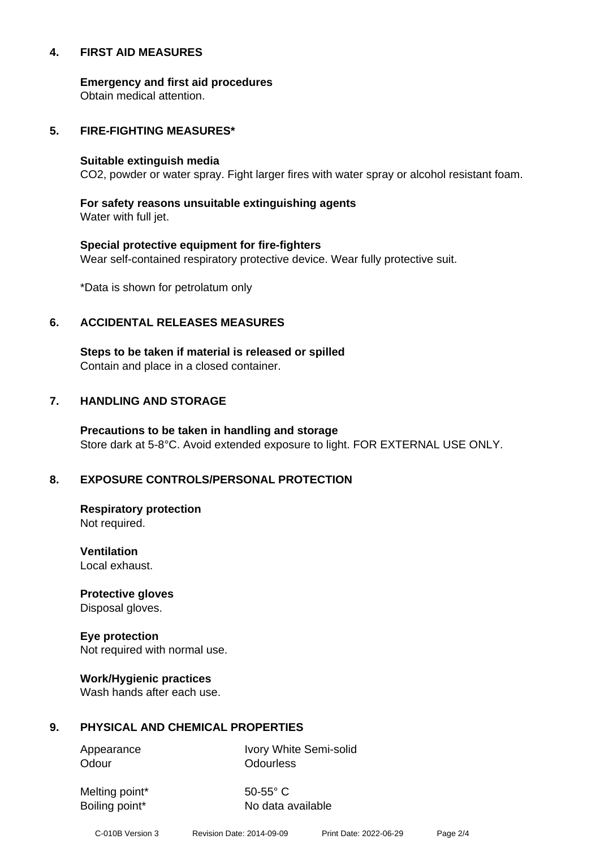#### **4. FIRST AID MEASURES**

**Emergency and first aid procedures**

Obtain medical attention.

#### **5. FIRE-FIGHTING MEASURES\***

#### **Suitable extinguish media**

CO2, powder or water spray. Fight larger fires with water spray or alcohol resistant foam.

# **For safety reasons unsuitable extinguishing agents**

Water with full jet.

# **Special protective equipment for fire-fighters** Wear self-contained respiratory protective device. Wear fully protective suit.

\*Data is shown for petrolatum only

#### **6. ACCIDENTAL RELEASES MEASURES**

**Steps to be taken if material is released or spilled** Contain and place in a closed container.

# **7. HANDLING AND STORAGE**

**Precautions to be taken in handling and storage** Store dark at 5-8°C. Avoid extended exposure to light. FOR EXTERNAL USE ONLY.

# **8. EXPOSURE CONTROLS/PERSONAL PROTECTION**

**Respiratory protection** Not required.

**Ventilation** Local exhaust.

**Protective gloves** Disposal gloves.

# **Eye protection**

Not required with normal use.

#### **Work/Hygienic practices**

Wash hands after each use.

#### **9. PHYSICAL AND CHEMICAL PROPERTIES**

Odour **Odourless** 

Appearance Ivory White Semi-solid

Melting point\* 50-55° C

Boiling point\* No data available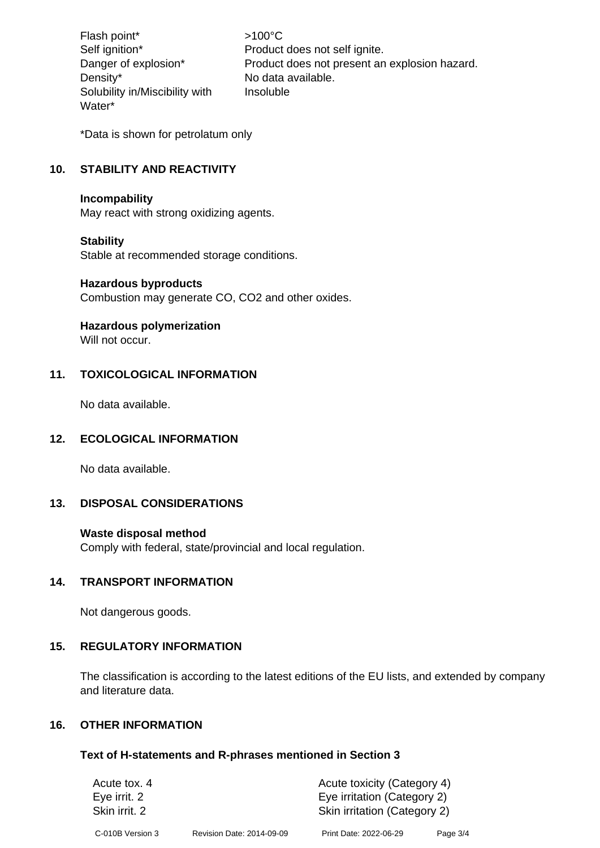Flash point\*  $>100^{\circ}$ C Density\* No data available. Solubility in/Miscibility with Water\*

Self ignition\* Product does not self ignite. Danger of explosion\* Product does not present an explosion hazard. Insoluble

\*Data is shown for petrolatum only

# **10. STABILITY AND REACTIVITY**

#### **Incompability**

May react with strong oxidizing agents.

#### **Stability**

Stable at recommended storage conditions.

#### **Hazardous byproducts**

Combustion may generate CO, CO2 and other oxides.

#### **Hazardous polymerization**

Will not occur.

#### **11. TOXICOLOGICAL INFORMATION**

No data available.

#### **12. ECOLOGICAL INFORMATION**

No data available.

#### **13. DISPOSAL CONSIDERATIONS**

#### **Waste disposal method**

Comply with federal, state/provincial and local regulation.

#### **14. TRANSPORT INFORMATION**

Not dangerous goods.

#### **15. REGULATORY INFORMATION**

The classification is according to the latest editions of the EU lists, and extended by company and literature data.

#### **16. OTHER INFORMATION**

#### **Text of H-statements and R-phrases mentioned in Section 3**

| Acute tox. 4     |                           | Acute toxicity (Category 4)  |          |  |
|------------------|---------------------------|------------------------------|----------|--|
| Eye irrit. 2     |                           | Eye irritation (Category 2)  |          |  |
| Skin irrit, 2    |                           | Skin irritation (Category 2) |          |  |
| C-010B Version 3 | Revision Date: 2014-09-09 | Print Date: 2022-06-29       | Page 3/4 |  |